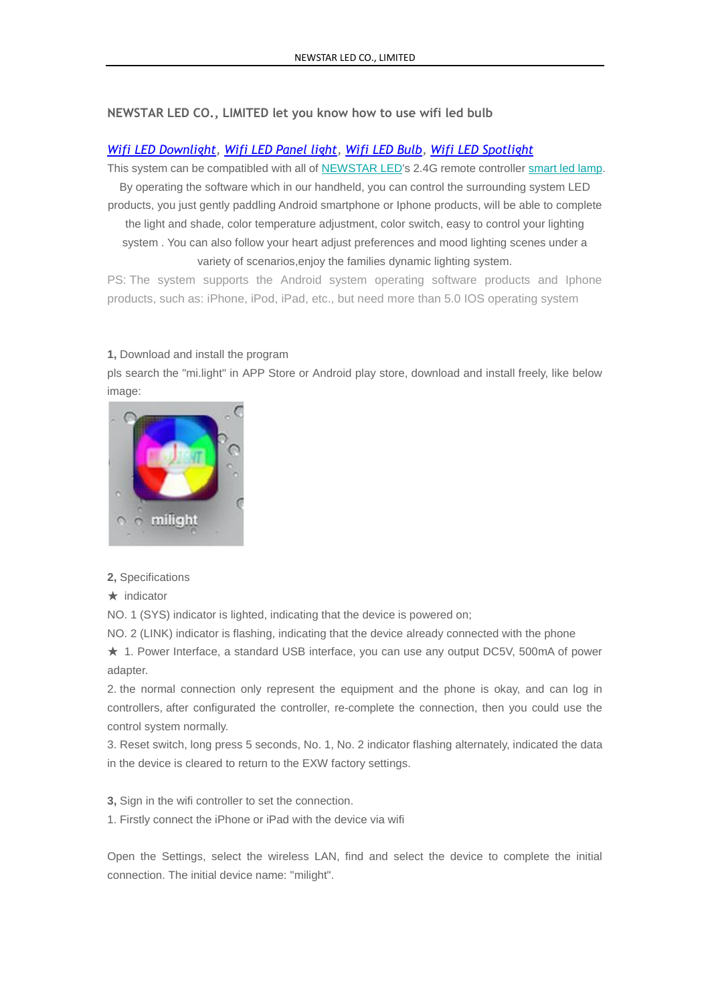## **NEWSTAR LED CO., LIMITED let you know how to use wifi led bulb**

## *Wifi LED [Downlight,](http://www.newstarleds.com/productshow593.html) [Wifi LED Panel light,](http://www.newstarleds.com/productshow595.html) [Wifi LED Bulb,](http://www.newstarleds.com/productshow596.html) [Wifi LED Spotlight](http://www.newstarleds.com/productshow599.html)*

This system can be compatibled with all of [NEWSTAR LED's](http://www.newstarleds.com/) 2.4G remote controller [smart led lamp.](http://www.newstarleds.com/products-184.html) By operating the software which in our handheld, you can control the surrounding system LED

products, you just gently paddling Android smartphone or Iphone products, will be able to complete the light and shade, color temperature adjustment, color switch, easy to control your lighting system . You can also follow your heart adjust preferences and mood lighting scenes under a variety of scenarios,enjoy the families dynamic lighting system.

PS: The system supports the Android system operating software products and Iphone products, such as: iPhone, iPod, iPad, etc., but need more than 5.0 IOS operating system

## **1,** Download and install the program

pls search the "mi.light" in APP Store or Android play store, download and install freely, like below image:



## **2,** Specifications

★ indicator

NO. 1 (SYS) indicator is lighted, indicating that the device is powered on;

NO. 2 (LINK) indicator is flashing, indicating that the device already connected with the phone

★ 1. Power Interface, a standard USB interface, you can use any output DC5V, 500mA of power adapter.

2. the normal connection only represent the equipment and the phone is okay, and can log in controllers, after configurated the controller, re-complete the connection, then you could use the control system normally.

3. Reset switch, long press 5 seconds, No. 1, No. 2 indicator flashing alternately, indicated the data in the device is cleared to return to the EXW factory settings.

**3,** Sign in the wifi controller to set the connection.

1. Firstly connect the iPhone or iPad with the device via wifi

Open the Settings, select the wireless LAN, find and select the device to complete the initial connection. The initial device name: "milight".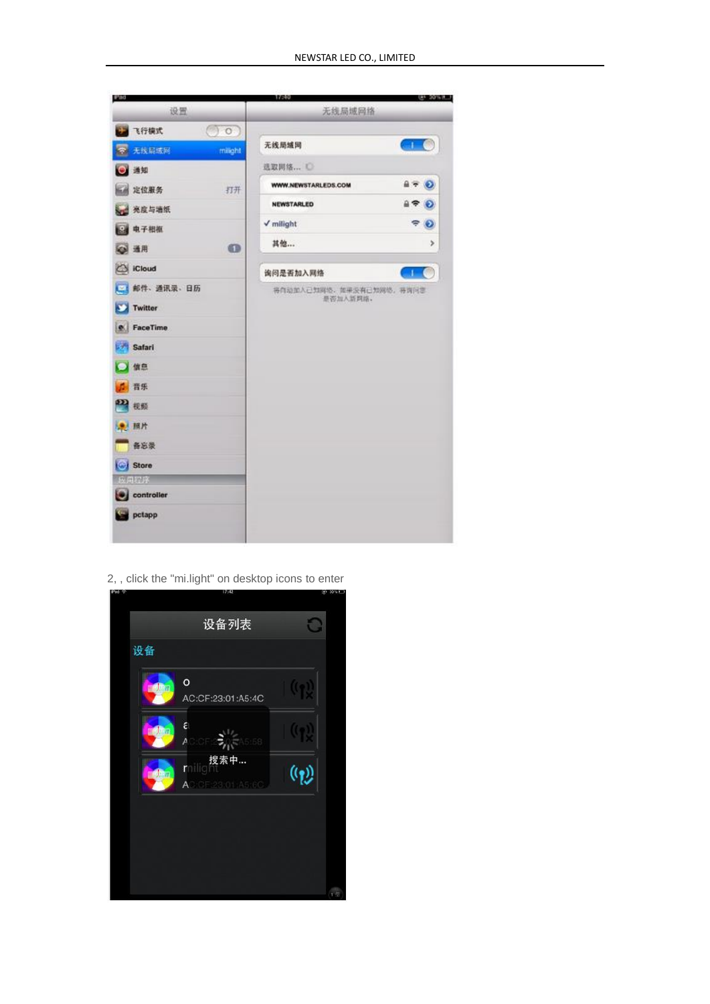

2, , click the "mi.light" on desktop icons to enter

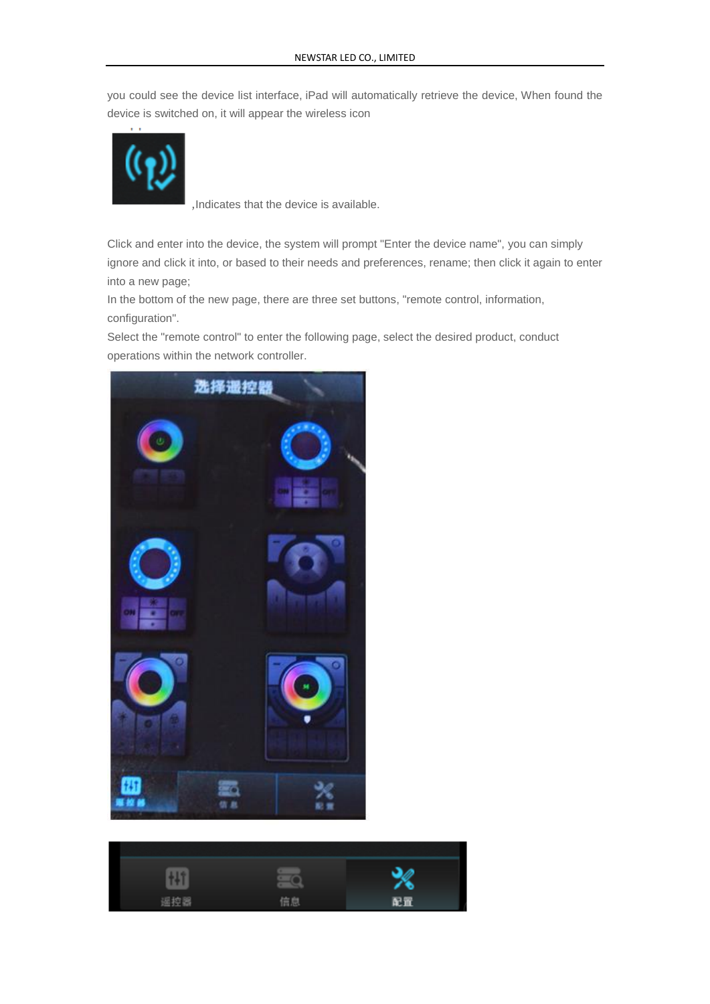you could see the device list interface, iPad will automatically retrieve the device, When found the device is switched on, it will appear the wireless icon



,Indicates that the device is available.

Click and enter into the device, the system will prompt "Enter the device name", you can simply ignore and click it into, or based to their needs and preferences, rename; then click it again to enter into a new page;

In the bottom of the new page, there are three set buttons, "remote control, information, configuration".

Select the "remote control" to enter the following page, select the desired product, conduct operations within the network controller.



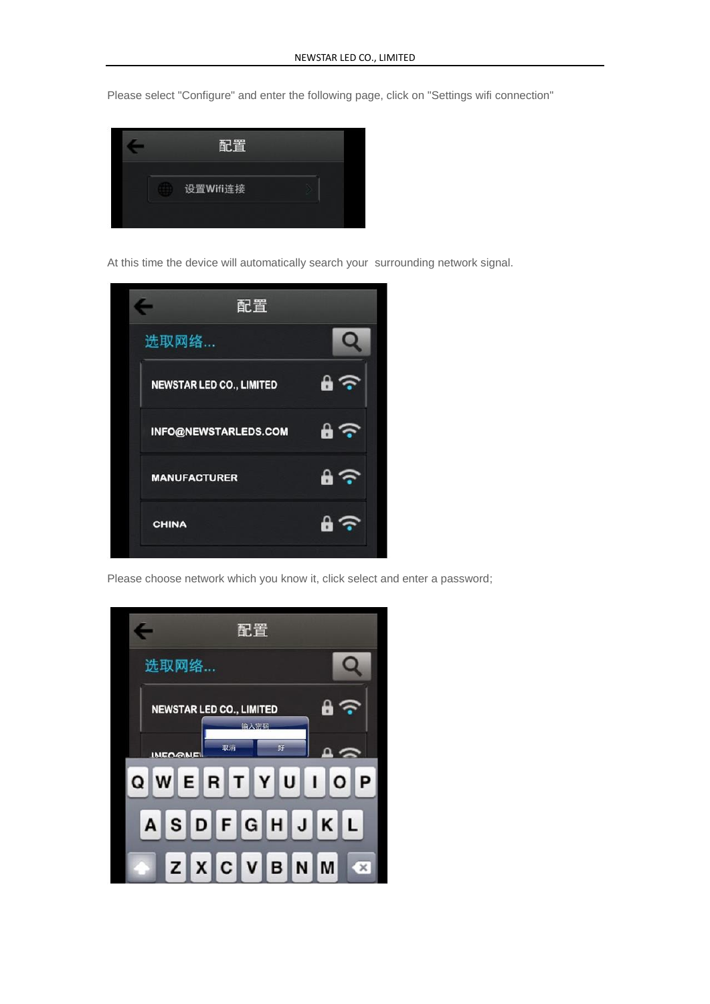Please select "Configure" and enter the following page, click on "Settings wifi connection"



At this time the device will automatically search your surrounding network signal.



Please choose network which you know it, click select and enter a password;

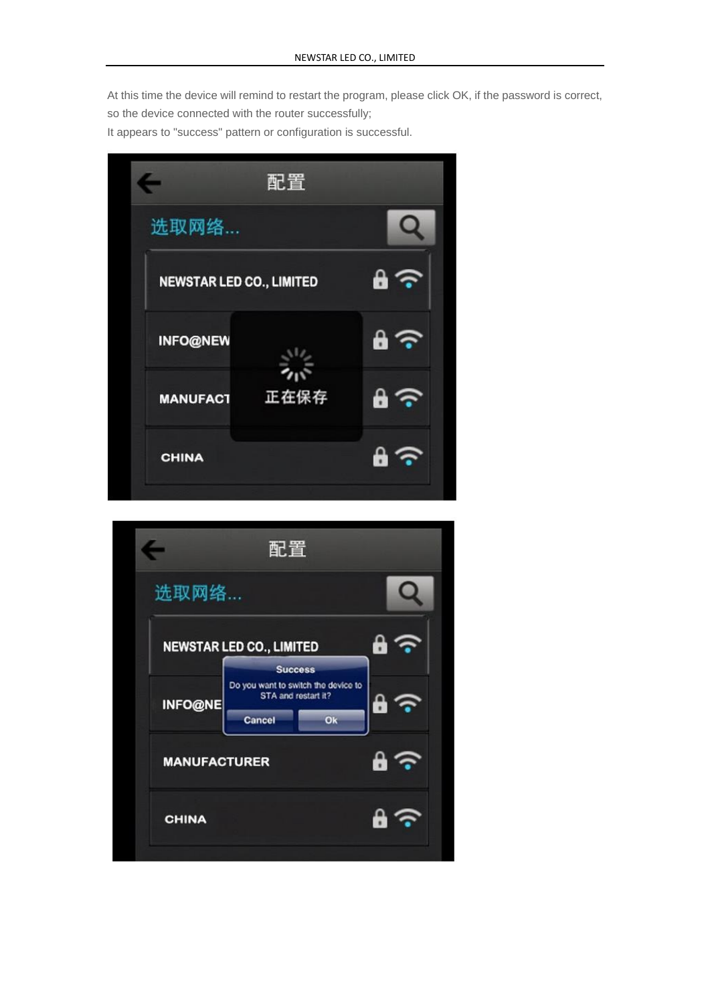At this time the device will remind to restart the program, please click OK, if the password is correct,

so the device connected with the router successfully;

It appears to "success" pattern or configuration is successful.



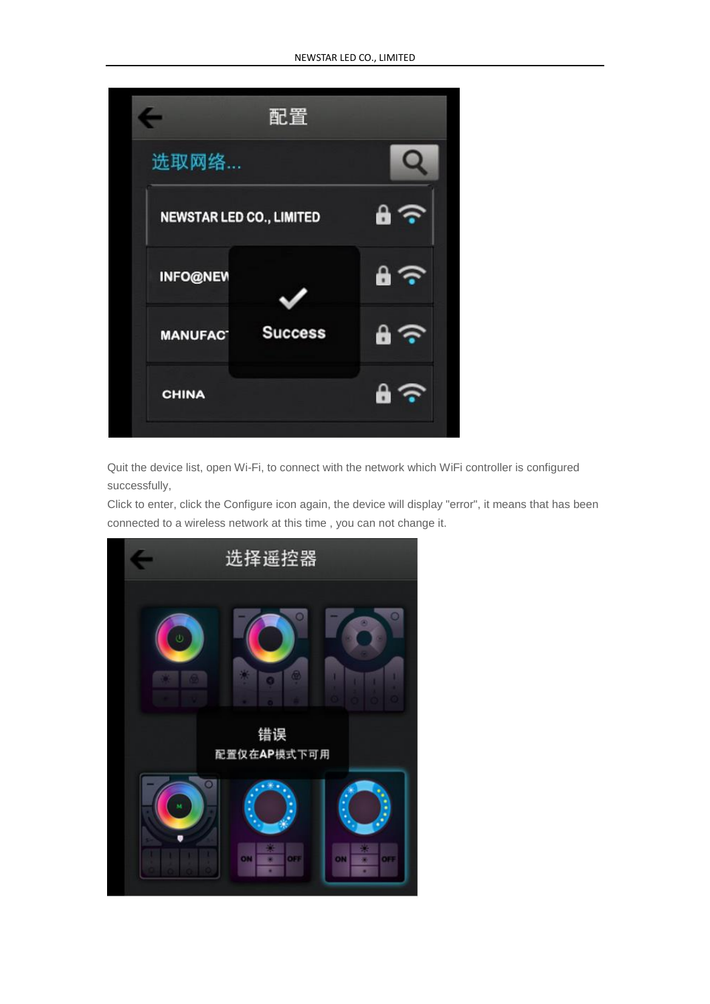

Quit the device list, open Wi-Fi, to connect with the network which WiFi controller is configured successfully,

Click to enter, click the Configure icon again, the device will display "error", it means that has been connected to a wireless network at this time , you can not change it.

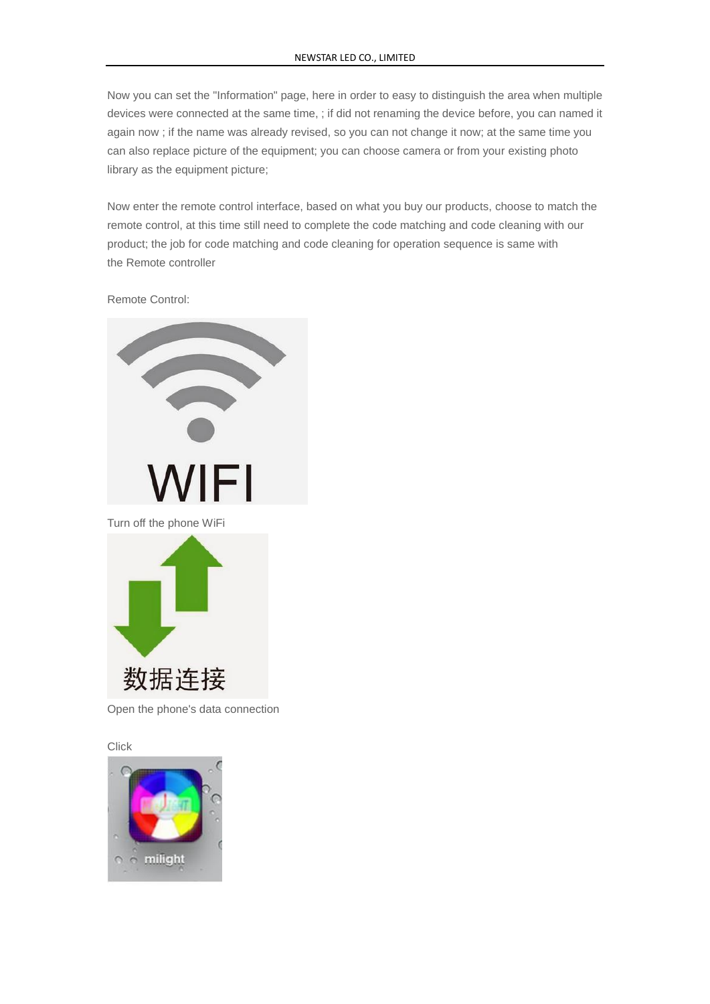Now you can set the "Information" page, here in order to easy to distinguish the area when multiple devices were connected at the same time, ; if did not renaming the device before, you can named it again now ; if the name was already revised, so you can not change it now; at the same time you can also replace picture of the equipment; you can choose camera or from your existing photo library as the equipment picture;

Now enter the remote control interface, based on what you buy our products, choose to match the remote control, at this time still need to complete the code matching and code cleaning with our product; the job for code matching and code cleaning for operation sequence is same with the Remote controller

Remote Control:



Open the phone's data connection

**Click**